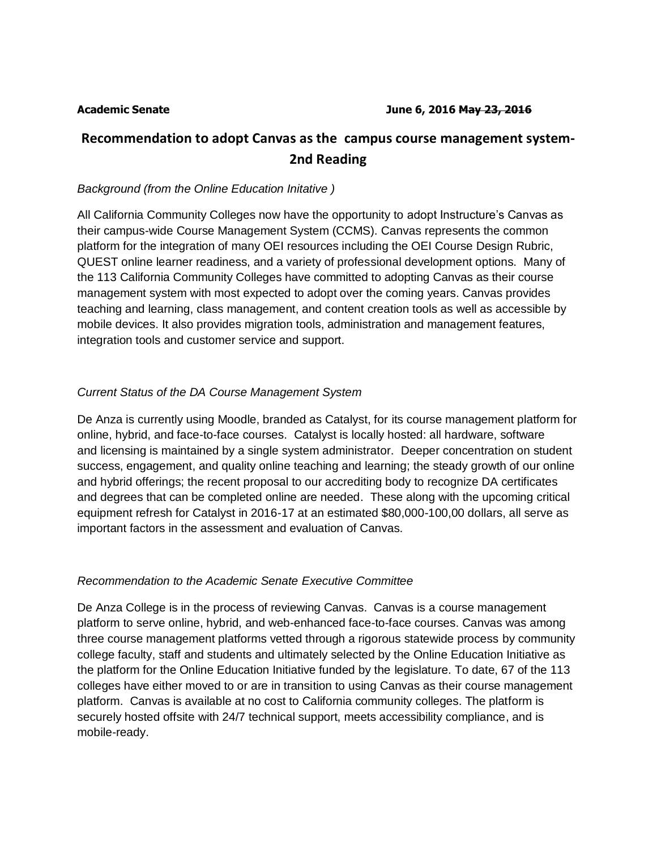# **Recommendation to adopt Canvas as the campus course management system-2nd Reading**

### *Background (from the Online Education Initative )*

All California Community Colleges now have the opportunity to adopt Instructure's Canvas as their campus-wide Course Management System (CCMS). Canvas represents the common platform for the integration of many OEI resources including the OEI Course Design Rubric, QUEST online learner readiness, and a variety of professional development options. Many of the 113 California Community Colleges have committed to adopting Canvas as their course management system with most expected to adopt over the coming years. Canvas provides teaching and learning, class management, and content creation tools as well as accessible by mobile devices. It also provides migration tools, administration and management features, integration tools and customer service and support.

## *Current Status of the DA Course Management System*

De Anza is currently using Moodle, branded as Catalyst, for its course management platform for online, hybrid, and face-to-face courses. Catalyst is locally hosted: all hardware, software and licensing is maintained by a single system administrator. Deeper concentration on student success, engagement, and quality online teaching and learning; the steady growth of our online and hybrid offerings; the recent proposal to our accrediting body to recognize DA certificates and degrees that can be completed online are needed. These along with the upcoming critical equipment refresh for Catalyst in 2016-17 at an estimated \$80,000-100,00 dollars, all serve as important factors in the assessment and evaluation of Canvas.

#### *Recommendation to the Academic Senate Executive Committee*

De Anza College is in the process of reviewing Canvas. Canvas is a course management platform to serve online, hybrid, and web-enhanced face-to-face courses. Canvas was among three course management platforms vetted through a rigorous statewide process by community college faculty, staff and students and ultimately selected by the Online Education Initiative as the platform for the Online Education Initiative funded by the legislature. To date, 67 of the 113 colleges have either moved to or are in transition to using Canvas as their course management platform. Canvas is available at no cost to California community colleges. The platform is securely hosted offsite with 24/7 technical support, meets accessibility compliance, and is mobile-ready.